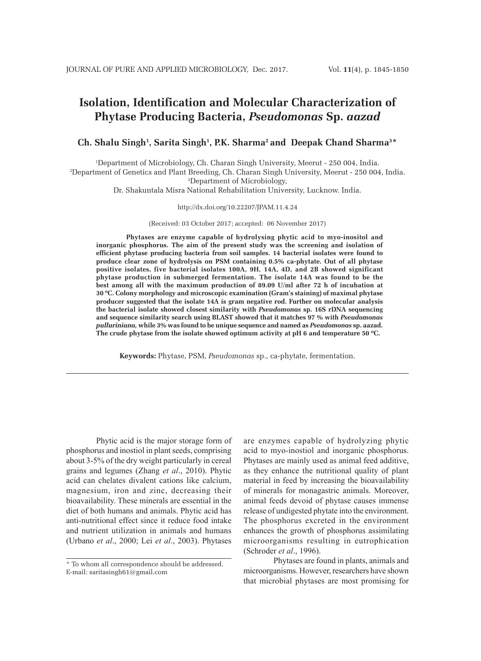# **Isolation, Identification and Molecular Characterization of Phytase Producing Bacteria,** *Pseudomonas* **Sp.** *aazad*

## Ch. Shalu Singh<sup>1</sup>, Sarita Singh<sup>1</sup>, P.K. Sharma<sup>2</sup> and Deepak Chand Sharma<sup>3\*</sup>

1 Department of Microbiology, Ch. Charan Singh University, Meerut - 250 004, India. 2 <sup>2</sup>Department of Genetics and Plant Breeding, Ch. Charan Singh University, Meerut - 250 004, India. Department of Microbiology,

Dr. Shakuntala Misra National Rehabilitation University, Lucknow. India.

#### http://dx.doi.org/10.22207/JPAM.11.4.24

(Received: 03 October 2017; accepted: 06 November 2017)

**Phytases are enzyme capable of hydrolysing phytic acid to myo-inositol and inorganic phosphorus. The aim of the present study was the screening and isolation of efficient phytase producing bacteria from soil samples. 14 bacterial isolates were found to produce clear zone of hydrolysis on PSM containing 0.5% ca-phytate. Out of all phytase positive isolates, five bacterial isolates 100A, 9H, 14A, 4D, and 2B showed significant phytase production in submerged fermentation. The isolate 14A was found to be the best among all with the maximum production of 89.09 U/ml after 72 h of incubation at 30 ºC. Colony morphology and microscopic examination (Gram's staining) of maximal phytase producer suggested that the isolate 14A is gram negative rod. Further on molecular analysis the bacterial isolate showed closest similarity with** *Pseudomonas* **sp. 16S rDNA sequencing and sequence similarity search using BLAST showed that it matches 97 % with** *Pseudomonas pulluriniana,* **while 3% was found to be unique sequence and named as** *Pseudomonas* **sp. aazad. The crude phytase from the isolate showed optimum activity at pH 6 and temperature 50 ºC.**

**Keywords:** Phytase, PSM, *Pseudomonas* sp., ca-phytate, fermentation.

Phytic acid is the major storage form of phosphorus and inostiol in plant seeds, comprising about 3-5% of the dry weight particularly in cereal grains and legumes (Zhang *et al*., 2010). Phytic acid can chelates divalent cations like calcium, magnesium, iron and zinc, decreasing their bioavailability. These minerals are essential in the diet of both humans and animals. Phytic acid has anti-nutritional effect since it reduce food intake and nutrient utilization in animals and humans (Urbano *et al*., 2000; Lei *et al*., 2003). Phytases

are enzymes capable of hydrolyzing phytic acid to myo-inostiol and inorganic phosphorus. Phytases are mainly used as animal feed additive, as they enhance the nutritional quality of plant material in feed by increasing the bioavailability of minerals for monagastric animals. Moreover, animal feeds devoid of phytase causes immense release of undigested phytate into the environment. The phosphorus excreted in the environment enhances the growth of phosphorus assimilating microorganisms resulting in eutrophication (Schroder *et al*., 1996).

Phytases are found in plants, animals and microorganisms. However, researchers have shown that microbial phytases are most promising for

<sup>\*</sup> To whom all correspondence should be addressed. E-mail: saritasingh61@gmail.com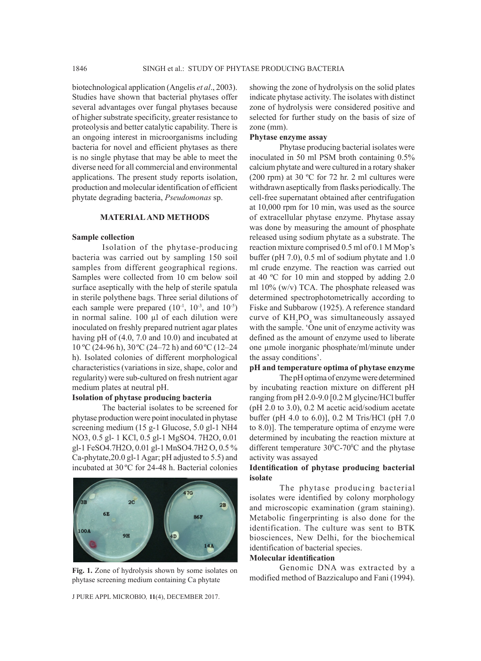biotechnological application (Angelis *et al*., 2003). Studies have shown that bacterial phytases offer several advantages over fungal phytases because of higher substrate specificity, greater resistance to proteolysis and better catalytic capability. There is an ongoing interest in microorganisms including bacteria for novel and efficient phytases as there is no single phytase that may be able to meet the diverse need for all commercial and environmental applications. The present study reports isolation, production and molecular identification of efficient phytate degrading bacteria, *Pseudomonas* sp.

#### **MATERIAL AND METHODS**

#### **Sample collection**

Isolation of the phytase-producing bacteria was carried out by sampling 150 soil samples from different geographical regions. Samples were collected from 10 cm below soil surface aseptically with the help of sterile spatula in sterile polythene bags. Three serial dilutions of each sample were prepared  $(10^{-1}, 10^{-3}, \text{ and } 10^{-5})$ in normal saline. 100 µl of each dilution were inoculated on freshly prepared nutrient agar plates having pH of (4.0, 7.0 and 10.0) and incubated at 10 °C (24-96 h), 30 °C (24–72 h) and 60 °C (12–24 h). Isolated colonies of different morphological characteristics (variations in size, shape, color and regularity) were sub-cultured on fresh nutrient agar medium plates at neutral pH.

### **Isolation of phytase producing bacteria**

The bacterial isolates to be screened for phytase production were point inoculated in phytase screening medium (15 g-1 Glucose, 5.0 gl-1 NH4 NO3, 0.5 gl- 1 KCl, 0.5 gl-1 MgSO4. 7H2O, 0.01 gl-1 FeSO4.7H2O, 0.01 gl-1 MnSO4.7H2 O, 0.5 % Ca-phytate,20.0 gl-1 Agar; pH adjusted to 5.5) and incubated at 30 ºC for 24-48 h. Bacterial colonies



**Fig. 1.** Zone of hydrolysis shown by some isolates on phytase screening medium containing Ca phytate

J PURE APPL MICROBIO*,* **11**(4), DECEMBER 2017.

showing the zone of hydrolysis on the solid plates indicate phytase activity. The isolates with distinct zone of hydrolysis were considered positive and selected for further study on the basis of size of zone (mm).

## **Phytase enzyme assay**

Phytase producing bacterial isolates were inoculated in 50 ml PSM broth containing 0.5% calcium phytate and were cultured in a rotary shaker (200 rpm) at 30 ºC for 72 hr. 2 ml cultures were withdrawn aseptically from flasks periodically. The cell-free supernatant obtained after centrifugation at 10,000 rpm for 10 min, was used as the source of extracellular phytase enzyme. Phytase assay was done by measuring the amount of phosphate released using sodium phytate as a substrate. The reaction mixture comprised 0.5 ml of 0.1 M Mop's buffer (pH 7.0), 0.5 ml of sodium phytate and 1.0 ml crude enzyme. The reaction was carried out at 40 ºC for 10 min and stopped by adding 2.0 ml 10% (w/v) TCA. The phosphate released was determined spectrophotometrically according to Fiske and Subbarow (1925). A reference standard curve of  $KH_{2}PO_{4}$  was simultaneously assayed with the sample. 'One unit of enzyme activity was defined as the amount of enzyme used to liberate one umole inorganic phosphate/ml/minute under the assay conditions'.

## **pH and temperature optima of phytase enzyme**

The pH optima of enzyme were determined by incubating reaction mixture on different pH ranging from pH 2.0-9.0 [0.2 M glycine/HCl buffer (pH 2.0 to 3.0), 0.2 M acetic acid/sodium acetate buffer (pH 4.0 to 6.0)], 0.2 M Tris/HCl (pH 7.0 to 8.0)]. The temperature optima of enzyme were determined by incubating the reaction mixture at different temperature  $30^{\circ}$ C-70 $^{\circ}$ C and the phytase activity was assayed

## **Identification of phytase producing bacterial isolate**

The phytase producing bacterial isolates were identified by colony morphology and microscopic examination (gram staining). Metabolic fingerprinting is also done for the identification. The culture was sent to BTK biosciences, New Delhi, for the biochemical identification of bacterial species.

## **Molecular identification**

Genomic DNA was extracted by a modified method of Bazzicalupo and Fani (1994).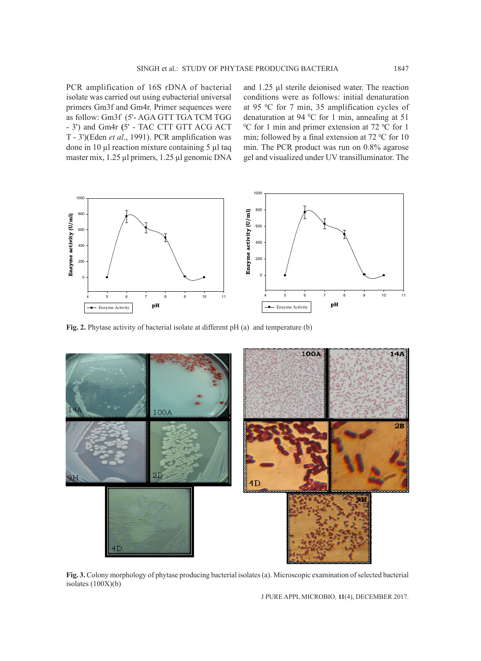PCR amplification of 16S rDNA of bacterial isolate was carried out using eubacterial universal primers Gm3f and Gm4r. Primer sequences were as follow: Gm3f (5'- AGA GTT TGA TCM TGG - 3') and Gm4r **(**5' - TAC CTT GTT ACG ACT T - 3')(Eden *et al*., 1991). PCR amplification was done in 10 µl reaction mixture containing 5 µl taq master mix, 1.25 µl primers, 1.25 µl genomic DNA and 1.25 µl sterile deionised water. The reaction conditions were as follows: initial denaturation at 95 0 C for 7 min, 35 amplification cycles of denaturation at 94 °C for 1 min, annealing at 51<br><sup>o</sup>C for 1 min and primer extension at 72 °C for 1 C for 1 min and primer extension at  $72 \degree$ C for 1 min; followed by a final extension at  $72 \degree C$  for 10 min. The PCR product was run on 0.8% agarose gel and visualized under UV transilluminator. The



**Fig. 2.** Phytase activity of bacterial isolate at different pH (a) and temperature (b)



**Fig. 3.** Colony morphology of phytase producing bacterial isolates (a). Microscopic examination of selected bacterial isolates  $(100X)(b)$ 

J PURE APPL MICROBIO*,* **11**(4), DECEMBER 2017.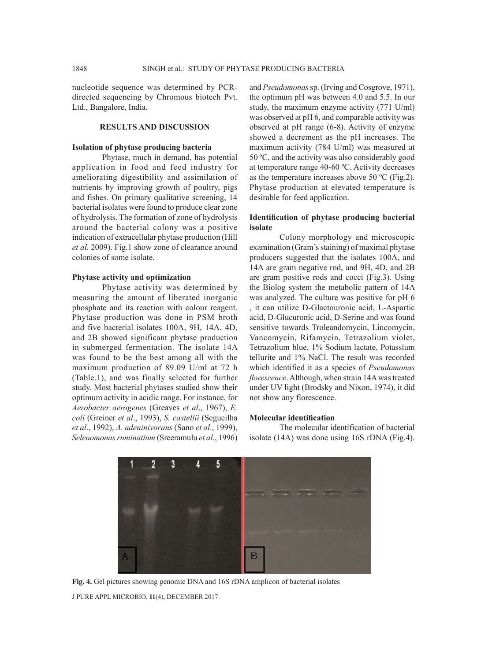nucleotide sequence was determined by PCRdirected sequencing by Chromous biotech Pvt. Ltd., Bangalore, India.

### **RESULTS AND DISCUSSION**

#### **Isolation of phytase producing bacteria**

Phytase, much in demand, has potential application in food and feed industry for ameliorating digestibility and assimilation of nutrients by improving growth of poultry, pigs and fishes. On primary qualitative screening, 14 bacterial isolates were found to produce clear zone of hydrolysis. The formation of zone of hydrolysis around the bacterial colony was a positive indication of extracellular phytase production (Hill *et al.* 2009). Fig.1 show zone of clearance around colonies of some isolate.

#### **Phytase activity and optimization**

Phytase activity was determined by measuring the amount of liberated inorganic phosphate and its reaction with colour reagent. Phytase production was done in PSM broth and five bacterial isolates 100A, 9H, 14A, 4D, and 2B showed significant phytase production in submerged fermentation. The isolate 14A was found to be the best among all with the maximum production of 89.09 U/ml at 72 h (Table.1), and was finally selected for further study. Most bacterial phytases studied show their optimum activity in acidic range. For instance, for *Aerobacter aerogenes* (Greaves *et al*., 1967), *E. coli* (Greiner *et al*., 1993), *S. castellii* (Segueilha *et al*., 1992), *A. adeninivorans* (Sano *et al*., 1999), *Selenomonas ruminatium* (Sreeramulu *et al*., 1996) and *Pseudomonas* sp. (Irving and Cosgrove, 1971), the optimum pH was between 4.0 and 5.5. In our study, the maximum enzyme activity (771 U/ml) was observed at pH 6, and comparable activity was observed at pH range (6-8). Activity of enzyme showed a decrement as the pH increases. The maximum activity (784 U/ml) was measured at 50 ºC, and the activity was also considerably good at temperature range 40-60 ºC. Activity decreases as the temperature increases above 50 ºC (Fig.2). Phytase production at elevated temperature is desirable for feed application.

## **Identification of phytase producing bacterial isolate**

Colony morphology and microscopic examination (Gram's staining) of maximal phytase producers suggested that the isolates 100A, and 14A are gram negative rod, and 9H, 4D, and 2B are gram positive rods and cocci (Fig.3). Using the Biolog system the metabolic pattern of 14A was analyzed. The culture was positive for pH 6 , it can utilize D-Glactouronic acid, L-Aspartic acid, D-Glucuronic acid, D-Serine and was found sensitive towards Troleandomycin, Lincomycin, Vancomycin, Rifamycin, Tetrazolium violet, Tetrazolium blue, 1% Sodium lactate, Potassium tellurite and 1% NaCl. The result was recorded which identified it as a species of *Pseudomonas florescence*. Although, when strain 14A was treated under UV light (Brodsky and Nixon, 1974), it did not show any florescence.

## **Molecular identification**

The molecular identification of bacterial isolate (14A) was done using 16S rDNA (Fig.4).



J PURE APPL MICROBIO*,* **11**(4), DECEMBER 2017. **Fig. 4.** Gel pictures showing genomic DNA and 16S rDNA amplicon of bacterial isolates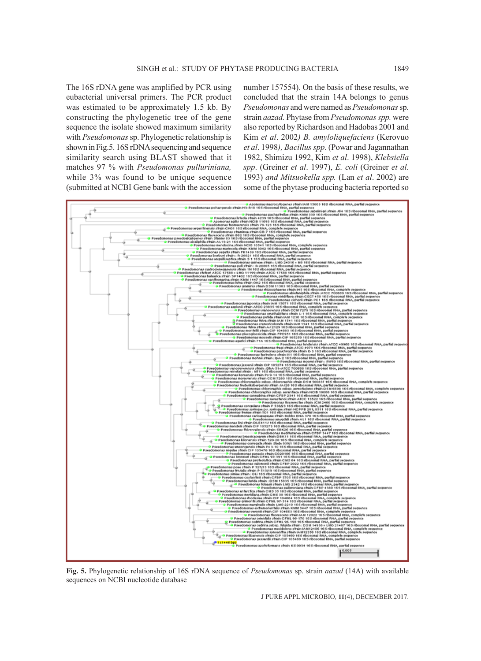The 16S rDNA gene was amplified by PCR using eubacterial universal primers. The PCR product was estimated to be approximately 1.5 kb. By constructing the phylogenetic tree of the gene sequence the isolate showed maximum similarity with *Pseudomonas* sp. Phylogenetic relationship is shown in Fig.5. 16S rDNA sequencing and sequence similarity search using BLAST showed that it matches 97 % with *Pseudomonas pulluriniana,*  while 3% was found to be unique sequence (submitted at NCBI Gene bank with the accession number 157554). On the basis of these results, we concluded that the strain 14A belongs to genus *Pseudomonas* and were named as *Pseudomonas* sp. strain *aazad.* Phytase from *Pseudomonas spp.* were also reported by Richardson and Hadobas 2001 and Kim *et al*. 2002*) B. amyloliquefaciens* (Kerovuo *et al*. 1998*), Bacillus spp.* (Powar and Jagannathan 1982, Shimizu 1992, Kim *et al*. 1998), *Klebsiella spp*. (Greiner *et al*. 1997), *E. coli* (Greiner *et al*. 1993) *and Mitsuokella spp.* (Lan *et al*. 2002) are some of the phytase producing bacteria reported so



**Fig. 5.** Phylogenetic relationship of 16S rDNA sequence of *Pseudomonas* sp. strain *aazad* (14A) with available sequences on NCBI nucleotide database

J PURE APPL MICROBIO*,* **11**(4), DECEMBER 2017.